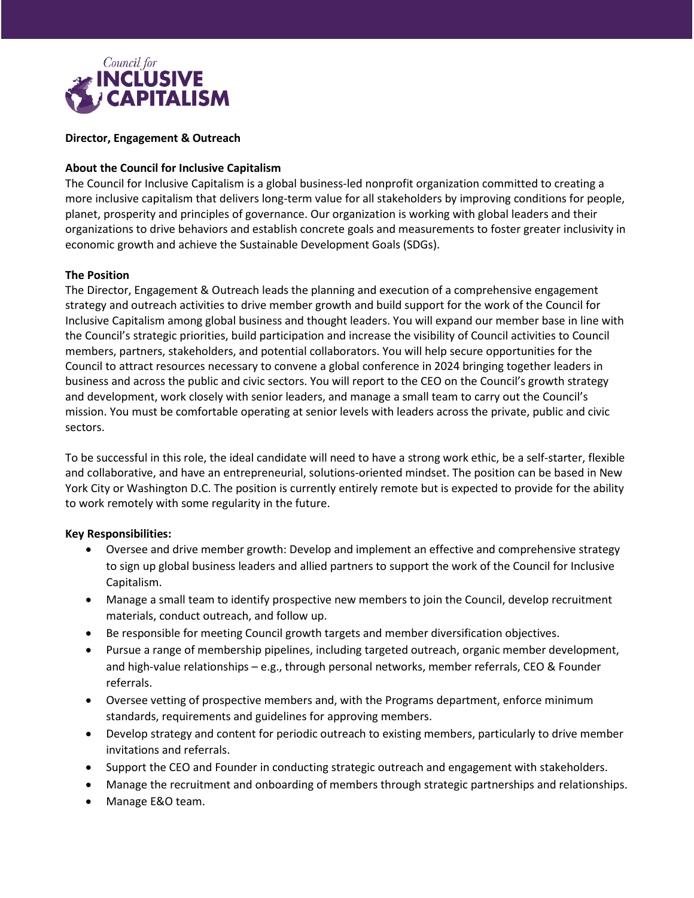

# **Director, Engagement & Outreach**

# **About the Council for Inclusive Capitalism**

The Council for Inclusive Capitalism is a global business-led nonprofit organization committed to creating a more inclusive capitalism that delivers long-term value for all stakeholders by improving conditions for people, planet, prosperity and principles of governance. Our organization is working with global leaders and their organizations to drive behaviors and establish concrete goals and measurements to foster greater inclusivity in economic growth and achieve the Sustainable Development Goals (SDGs).

### **The Position**

The Director, Engagement & Outreach leads the planning and execution of a comprehensive engagement strategy and outreach activities to drive member growth and build support for the work of the Council for Inclusive Capitalism among global business and thought leaders. You will expand our member base in line with the Council's strategic priorities, build participation and increase the visibility of Council activities to Council members, partners, stakeholders, and potential collaborators. You will help secure opportunities for the Council to attract resources necessary to convene a global conference in 2024 bringing together leaders in business and across the public and civic sectors. You will report to the CEO on the Council's growth strategy and development, work closely with senior leaders, and manage a small team to carry out the Council's mission. You must be comfortable operating at senior levels with leaders across the private, public and civic sectors.

To be successful in this role, the ideal candidate will need to have a strong work ethic, be a self-starter, flexible and collaborative, and have an entrepreneurial, solutions-oriented mindset. The position can be based in New York City or Washington D.C. The position is currently entirely remote but is expected to provide for the ability to work remotely with some regularity in the future.

#### **Key Responsibilities:**

- Oversee and drive member growth: Develop and implement an effective and comprehensive strategy to sign up global business leaders and allied partners to support the work of the Council for Inclusive Capitalism.
- Manage a small team to identify prospective new members to join the Council, develop recruitment materials, conduct outreach, and follow up.
- Be responsible for meeting Council growth targets and member diversification objectives.
- Pursue a range of membership pipelines, including targeted outreach, organic member development, and high-value relationships – e.g., through personal networks, member referrals, CEO & Founder referrals.
- Oversee vetting of prospective members and, with the Programs department, enforce minimum standards, requirements and guidelines for approving members.
- Develop strategy and content for periodic outreach to existing members, particularly to drive member invitations and referrals.
- Support the CEO and Founder in conducting strategic outreach and engagement with stakeholders.
- Manage the recruitment and onboarding of members through strategic partnerships and relationships.
- Manage E&O team.